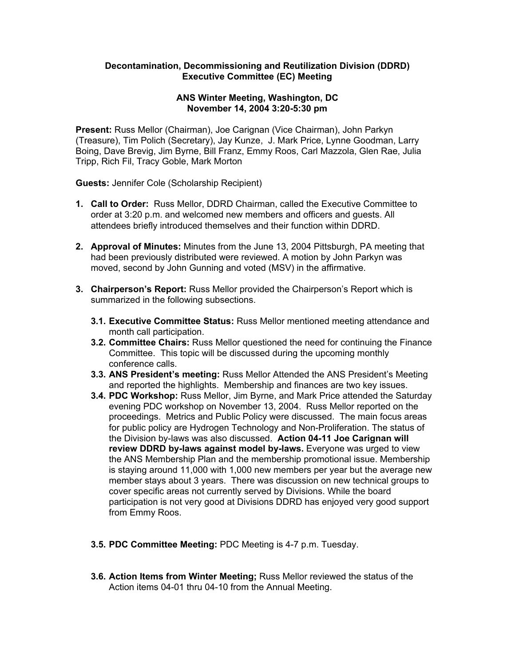## **Decontamination, Decommissioning and Reutilization Division (DDRD) Executive Committee (EC) Meeting**

## **ANS Winter Meeting, Washington, DC November 14, 2004 3:20-5:30 pm**

**Present:** Russ Mellor (Chairman), Joe Carignan (Vice Chairman), John Parkyn (Treasure), Tim Polich (Secretary), Jay Kunze, J. Mark Price, Lynne Goodman, Larry Boing, Dave Brevig, Jim Byrne, Bill Franz, Emmy Roos, Carl Mazzola, Glen Rae, Julia Tripp, Rich Fil, Tracy Goble, Mark Morton

**Guests:** Jennifer Cole (Scholarship Recipient)

- **1. Call to Order:** Russ Mellor, DDRD Chairman, called the Executive Committee to order at 3:20 p.m. and welcomed new members and officers and guests. All attendees briefly introduced themselves and their function within DDRD.
- **2. Approval of Minutes:** Minutes from the June 13, 2004 Pittsburgh, PA meeting that had been previously distributed were reviewed. A motion by John Parkyn was moved, second by John Gunning and voted (MSV) in the affirmative.
- **3. Chairperson's Report:** Russ Mellor provided the Chairperson's Report which is summarized in the following subsections.
	- **3.1. Executive Committee Status:** Russ Mellor mentioned meeting attendance and month call participation.
	- **3.2. Committee Chairs:** Russ Mellor questioned the need for continuing the Finance Committee. This topic will be discussed during the upcoming monthly conference calls.
	- **3.3. ANS President's meeting:** Russ Mellor Attended the ANS President's Meeting and reported the highlights. Membership and finances are two key issues.
	- **3.4. PDC Workshop:** Russ Mellor, Jim Byrne, and Mark Price attended the Saturday evening PDC workshop on November 13, 2004. Russ Mellor reported on the proceedings. Metrics and Public Policy were discussed. The main focus areas for public policy are Hydrogen Technology and Non-Proliferation. The status of the Division by-laws was also discussed. **Action 04-11 Joe Carignan will review DDRD by-laws against model by-laws.** Everyone was urged to view the ANS Membership Plan and the membership promotional issue. Membership is staying around 11,000 with 1,000 new members per year but the average new member stays about 3 years. There was discussion on new technical groups to cover specific areas not currently served by Divisions. While the board participation is not very good at Divisions DDRD has enjoyed very good support from Emmy Roos.
	- **3.5. PDC Committee Meeting:** PDC Meeting is 4-7 p.m. Tuesday.
	- **3.6. Action Items from Winter Meeting;** Russ Mellor reviewed the status of the Action items 04-01 thru 04-10 from the Annual Meeting.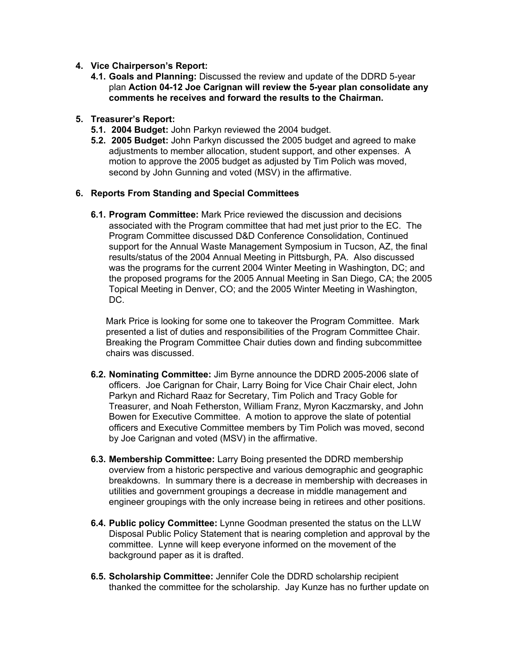- **4. Vice Chairperson's Report:**
	- **4.1. Goals and Planning:** Discussed the review and update of the DDRD 5-year plan **Action 04-12 Joe Carignan will review the 5-year plan consolidate any comments he receives and forward the results to the Chairman.**

## **5. Treasurer's Report:**

- **5.1. 2004 Budget:** John Parkyn reviewed the 2004 budget.
- **5.2. 2005 Budget:** John Parkyn discussed the 2005 budget and agreed to make adjustments to member allocation, student support, and other expenses. A motion to approve the 2005 budget as adjusted by Tim Polich was moved, second by John Gunning and voted (MSV) in the affirmative.

## **6. Reports From Standing and Special Committees**

**6.1. Program Committee:** Mark Price reviewed the discussion and decisions associated with the Program committee that had met just prior to the EC. The Program Committee discussed D&D Conference Consolidation, Continued support for the Annual Waste Management Symposium in Tucson, AZ, the final results/status of the 2004 Annual Meeting in Pittsburgh, PA. Also discussed was the programs for the current 2004 Winter Meeting in Washington, DC; and the proposed programs for the 2005 Annual Meeting in San Diego, CA; the 2005 Topical Meeting in Denver, CO; and the 2005 Winter Meeting in Washington, DC.

Mark Price is looking for some one to takeover the Program Committee. Mark presented a list of duties and responsibilities of the Program Committee Chair. Breaking the Program Committee Chair duties down and finding subcommittee chairs was discussed.

- **6.2. Nominating Committee:** Jim Byrne announce the DDRD 2005-2006 slate of officers. Joe Carignan for Chair, Larry Boing for Vice Chair Chair elect, John Parkyn and Richard Raaz for Secretary, Tim Polich and Tracy Goble for Treasurer, and Noah Fetherston, William Franz, Myron Kaczmarsky, and John Bowen for Executive Committee. A motion to approve the slate of potential officers and Executive Committee members by Tim Polich was moved, second by Joe Carignan and voted (MSV) in the affirmative.
- **6.3. Membership Committee:** Larry Boing presented the DDRD membership overview from a historic perspective and various demographic and geographic breakdowns. In summary there is a decrease in membership with decreases in utilities and government groupings a decrease in middle management and engineer groupings with the only increase being in retirees and other positions.
- **6.4. Public policy Committee:** Lynne Goodman presented the status on the LLW Disposal Public Policy Statement that is nearing completion and approval by the committee. Lynne will keep everyone informed on the movement of the background paper as it is drafted.
- **6.5. Scholarship Committee:** Jennifer Cole the DDRD scholarship recipient thanked the committee for the scholarship. Jay Kunze has no further update on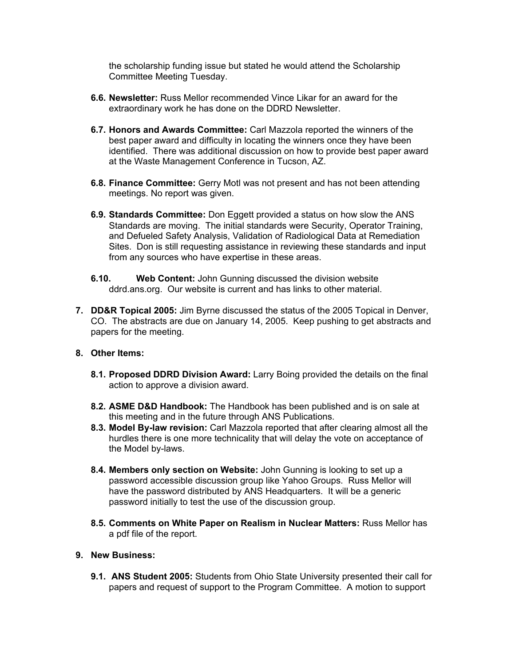the scholarship funding issue but stated he would attend the Scholarship Committee Meeting Tuesday.

- **6.6. Newsletter:** Russ Mellor recommended Vince Likar for an award for the extraordinary work he has done on the DDRD Newsletter.
- **6.7. Honors and Awards Committee:** Carl Mazzola reported the winners of the best paper award and difficulty in locating the winners once they have been identified. There was additional discussion on how to provide best paper award at the Waste Management Conference in Tucson, AZ.
- **6.8. Finance Committee:** Gerry Motl was not present and has not been attending meetings. No report was given.
- **6.9. Standards Committee:** Don Eggett provided a status on how slow the ANS Standards are moving. The initial standards were Security, Operator Training, and Defueled Safety Analysis, Validation of Radiological Data at Remediation Sites. Don is still requesting assistance in reviewing these standards and input from any sources who have expertise in these areas.
- **6.10. Web Content:** John Gunning discussed the division website ddrd.ans.org. Our website is current and has links to other material.
- **7. DD&R Topical 2005:** Jim Byrne discussed the status of the 2005 Topical in Denver, CO. The abstracts are due on January 14, 2005. Keep pushing to get abstracts and papers for the meeting.

#### **8. Other Items:**

- **8.1. Proposed DDRD Division Award:** Larry Boing provided the details on the final action to approve a division award.
- **8.2. ASME D&D Handbook:** The Handbook has been published and is on sale at this meeting and in the future through ANS Publications.
- **8.3. Model By-law revision:** Carl Mazzola reported that after clearing almost all the hurdles there is one more technicality that will delay the vote on acceptance of the Model by-laws.
- **8.4. Members only section on Website:** John Gunning is looking to set up a password accessible discussion group like Yahoo Groups. Russ Mellor will have the password distributed by ANS Headquarters. It will be a generic password initially to test the use of the discussion group.
- **8.5. Comments on White Paper on Realism in Nuclear Matters:** Russ Mellor has a pdf file of the report.

# **9. New Business:**

**9.1. ANS Student 2005:** Students from Ohio State University presented their call for papers and request of support to the Program Committee. A motion to support